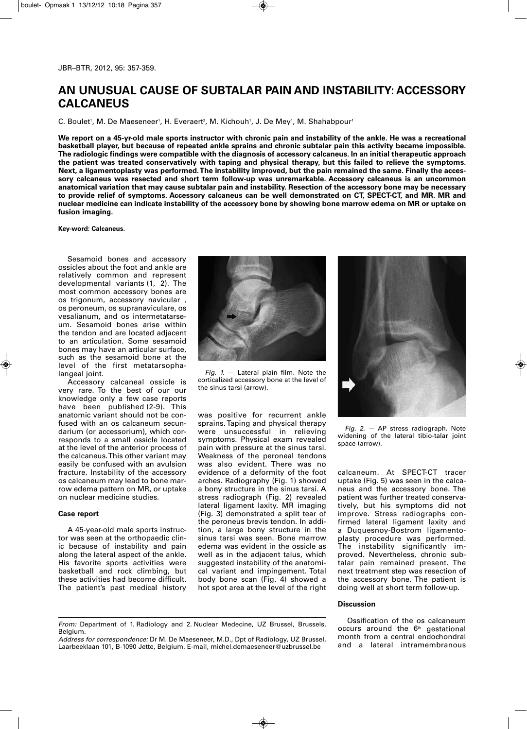## **AN UNUSUAL CAUSE OF SUBTALAR PAIN AND INSTABILITY: ACCESSORY CALCANEUS**

C. Boulet', M. De Maeseneer', H. Everaert<sup>2</sup>, M. Kichouh', J. De Mey', M. Shahabpour'

**We report on a 45-yr-old male sports instructor with chronic pain and instability of the ankle. He was a recreational basketball player, but because of repeated ankle sprains and chronic subtalar pain this activity became impossible. The radiologic findings were compatible with the diagnosis of accessory calcaneus. In an initial therapeutic approach the patient was treated conservatively with taping and physical therapy, but this failed to relieve the symptoms. Next, a ligamentoplasty was performed. The instability improved, but the pain remained the same. Finally the accessory calcaneus was resected and short term follow-up was unremarkable. Accessory calcaneus is an uncommon anatomical variation that may cause subtalar pain and instability. Resection of the accessory bone may be necessary to provide relief of symptoms. Accessory calcaneus can be well demonstrated on CT, SPECT-CT, and MR. MR and nuclear medicine can indicate instability of the accessory bone by showing bone marrow edema on MR or uptake on fusion imaging.**

**Key-word: Calcaneus.**

Sesamoid bones and accessory ossicles about the foot and ankle are relatively common and represent developmental variants (1, 2). The most common accessory bones are os trigonum, accessory navicular , os peroneum, os supranaviculare, os vesalianum, and os intermetatarseum. Sesamoid bones arise within the tendon and are located adjacent to an articulation. Some sesamoid bones may have an articular surface, such as the sesamoid bone at the level of the first metatarsophalangeal joint.

Accessory calcaneal ossicle is very rare. To the best of our our knowledge only a few case reports have been published (2-9). This anatomic variant should not be confused with an os calcaneum secundarium (or accessorium), which corresponds to a small ossicle located at the level of the anterior process of the calcaneus. This other variant may easily be confused with an avulsion fracture. Instability of the accessory os calcaneum may lead to bone marrow edema pattern on MR, or uptake on nuclear medicine studies.

## **Case report**

A 45-year-old male sports instructor was seen at the orthopaedic clinic because of instability and pain along the lateral aspect of the ankle. His favorite sports activities were basketball and rock climbing, but these activities had become difficult. The patient's past medical history



*Fig. 1.* — Lateral plain film. Note the corticalized accessory bone at the level of the sinus tarsi (arrow).

was positive for recurrent ankle sprains. Taping and physical therapy were unsuccessful in relieving symptoms. Physical exam revealed pain with pressure at the sinus tarsi. Weakness of the peroneal tendons was also evident. There was no evidence of a deformity of the foot arches. Radiography (Fig. 1) showed a bony structure in the sinus tarsi. A stress radiograph (Fig. 2) revealed lateral ligament laxity. MR imaging (Fig. 3) demonstrated a split tear of the peroneus brevis tendon. In addition, a large bony structure in the sinus tarsi was seen. Bone marrow edema was evident in the ossicle as well as in the adiacent talus, which suggested instability of the anatomical variant and impingement. Total body bone scan (Fig. 4) showed a hot spot area at the level of the right



*Fig. 2.* — AP stress radiograph. Note widening of the lateral tibio-talar joint space (arrow).

calcaneum. At SPECT-CT tracer uptake (Fig. 5) was seen in the calcaneus and the accessory bone. The patient was further treated conservatively, but his symptoms did not improve. Stress radiographs confirmed lateral ligament laxity and a Duquesnoy-Bostrom ligamentoplasty procedure was performed. The instability significantly im proved. Nevertheless, chronic subtalar pain remained present. The next treatment step was resection of the accessory bone. The patient is doing well at short term follow-up.

## **Discussion**

Ossification of the os calcaneum occurs around the  $6<sup>th</sup>$  gestational month from a central endochondral and a lateral intramembranous

*From:* Department of 1. Radiology and 2. Nuclear Medecine, UZ Brussel, Brussels, Belgium.

*Address for correspondence:* Dr M. De Maeseneer, M.D., Dpt of Radiology, UZ Brussel, Laarbeeklaan 101, B-1090 Jette, Belgium. E-mail, michel.demaeseneer@uzbrussel.be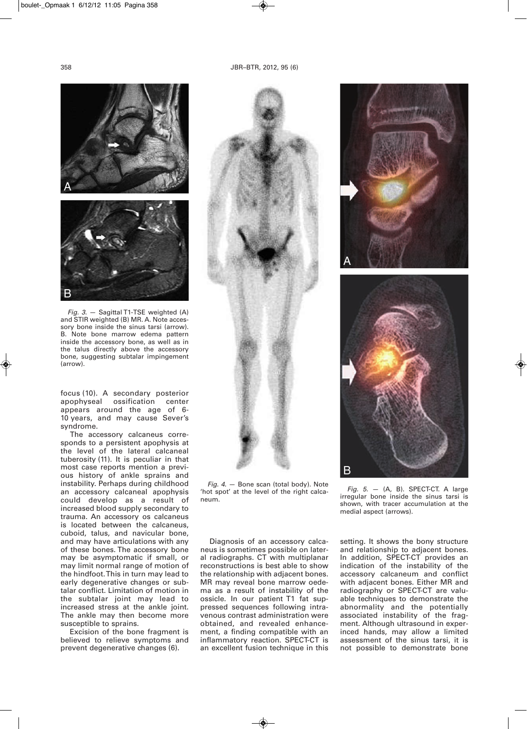

*Fig. 3.* — Sagittal T1-TSE weighted (A) and STIR weighted (B) MR. A. Note accessory bone inside the sinus tarsi (arrow). B. Note bone marrow edema pattern inside the accessory bone, as well as in the talus directly above the accessory bone, suggesting subtalar impingement (arrow).

focus (10). A secondary posterior apophyseal ossification center appears around the age of 6- 10 years, and may cause Sever's syndrome.

The accessory calcaneus corresponds to a persistent apophysis at the level of the lateral calcaneal tuberosity (11). It is peculiar in that most case reports mention a previous history of ankle sprains and instability. Perhaps during childhood an accessory calcaneal apophysis could develop as a result of increased blood supply secondary to trauma. An accessory os calcaneus is located between the calcaneus, cuboid, talus, and navicular bone, and may have articulations with any of these bones. The accessory bone may be asymptomatic if small, or may limit normal range of motion of the hindfoot.This in turn may lead to early degenerative changes or subtalar conflict. Limitation of motion in the subtalar joint may lead to increased stress at the ankle joint. The ankle may then become more susceptible to sprains.

Excision of the bone fragment is believed to relieve symptoms and prevent degenerative changes (6).







*Fig. 4.* — Bone scan (total body). Note 'hot spot' at the level of the right calcaneum.

Diagnosis of an accessory calcaneus is sometimes possible on lateral radiographs. CT with multiplanar reconstructions is best able to show the relationship with adjacent bones. MR may reveal bone marrow oedema as a result of instability of the ossicle. In our patient T1 fat suppressed sequences following intravenous contrast administration were obtained, and revealed enhancement, a finding compatible with an inflammatory reaction. SPECT-CT is an excellent fusion technique in this

*Fig. 5.* — (A, B). SPECT-CT. A large irregular bone inside the sinus tarsi is shown, with tracer accumulation at the medial aspect (arrows).

setting. It shows the bony structure and relationship to adjacent bones. In addition, SPECT-CT provides an indication of the instability of the accessory calcaneum and conflict with adjacent bones. Either MR and radiography or SPECT-CT are valuable techniques to demonstrate the abnormality and the potentially associated instability of the fragment. Although ultrasound in experinced hands, may allow a limited assessment of the sinus tarsi, it is not possible to demonstrate bone